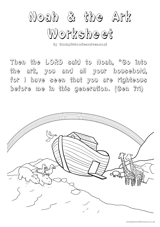

By SundaySchoolResources.co.uk

*Then the LORD said to Noah, "Go into the ark, you and all your household, for I have seen that you are righteous before me in this generation. (Gen 7:1)* 

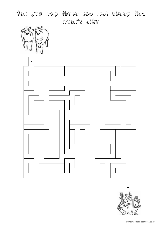Can you help these two lost sheep find Noah's ark?



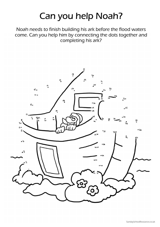# Can you help Noah?

Noah needs to finish building his ark before the flood waters come. Can you help him by connecting the dots together and completing his ark?

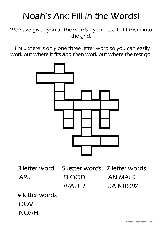# Noah's Ark: Fill in the Words!

We have given you all the words… you need to fit them into the grid.

Hint… there is only one three letter word so you can easily work out where it fits and then work out where the rest go.

![](_page_3_Figure_3.jpeg)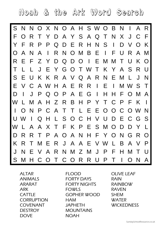Noah & the Ark Word Search

![](_page_4_Picture_1.jpeg)

**ALTAR** ANIMALS ARARAT ARK CATTLE **CORRUPTION** COVENANT **DESTROY DOVE** 

FI OOD FORTY DAYS FORTY NIGHTS FOWL<sub>S</sub> GOPHER WOOD **HAM** JAPHETH MOUNTAINS NOAH

OLIVE LEAF RAIN RAINBOW RAVEN SHEM WATER **WICKEDNESS**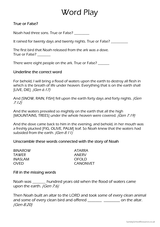### Word Play

#### True or False?

Noah had three sons. True or False? \_\_\_\_\_\_\_\_

It rained for twenty days and twenty nights. True or False?

The first bird that Noah released from the ark was a dove. True or False?

There were eight people on the ark. True or False?

#### Underline the correct word

For behold, I will bring a flood of waters upon the earth to destroy all flesh in which is the breath of life under heaven. Everything that is on the earth shall [LIVE, DIE]. (Gen 6:17)

And [SNOW, RAIN, FISH] fell upon the earth forty days and forty nights. *(Gen*) 7:12)

And the waters prevailed so mightily on the earth that all the high [MOUNTAINS, TREES] under the whole heaven were covered. (Gen 7:19)

And the dove came back to him in the evening, and behold, in her mouth was a freshly plucked [FIG, OLIVE, PALM] leaf. So Noah knew that the waters had subsided from the earth.  $/Gen 8:11$ 

#### Unscramble these words connected with the story of Noah

| ATARRA          |
|-----------------|
| ANERV           |
| OFOLD           |
| <b>CANONVET</b> |
|                 |

Fill in the missing words

Noah was \_\_\_\_\_\_\_ hundred years old when the flood of waters came upon the earth. (Gen 7:6)

Then Noah built an altar to the LORD and took some of every clean animal and some of every clean bird and offered \_\_\_\_\_\_\_\_\_\_\_\_\_\_\_\_\_\_\_\_\_\_ on the altar. (Gen 8:20)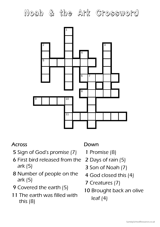## Noah & the Ark Crossword

![](_page_6_Figure_1.jpeg)

#### Across

- Sign of God's promise (7)
- First bird released from the ark (5)
- Number of people on the ark (5)
- Covered the earth (5)
- The earth was filled with this (8)

#### Down

- Promise (8)
- Days of rain (5)
- Son of Noah (7)
- God closed this (4)
- Creatures (7)
- Brought back an olive leaf (4)